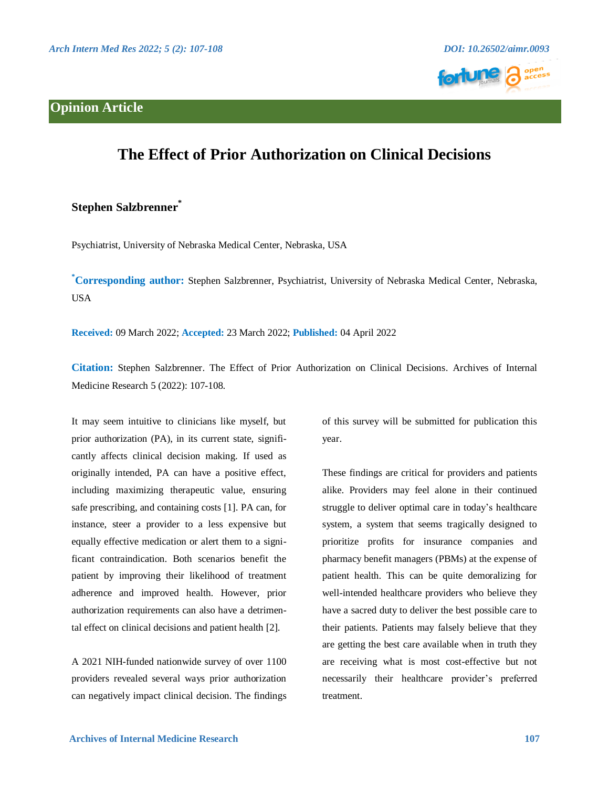## **Opinion Article**





## **The Effect of Prior Authorization on Clinical Decisions**

## **Stephen Salzbrenner\***

Psychiatrist, University of Nebraska Medical Center, Nebraska, USA

**\*Corresponding author:** Stephen Salzbrenner, Psychiatrist, University of Nebraska Medical Center, Nebraska, USA

**Received:** 09 March 2022; **Accepted:** 23 March 2022; **Published:** 04 April 2022

**Citation:** Stephen Salzbrenner. The Effect of Prior Authorization on Clinical Decisions. Archives of Internal Medicine Research 5 (2022): 107-108.

It may seem intuitive to clinicians like myself, but prior authorization (PA), in its current state, significantly affects clinical decision making. If used as originally intended, PA can have a positive effect, including maximizing therapeutic value, ensuring safe prescribing, and containing costs [1]. PA can, for instance, steer a provider to a less expensive but equally effective medication or alert them to a significant contraindication. Both scenarios benefit the patient by improving their likelihood of treatment adherence and improved health. However, prior authorization requirements can also have a detrimental effect on clinical decisions and patient health [2].

A 2021 NIH-funded nationwide survey of over 1100 providers revealed several ways prior authorization can negatively impact clinical decision. The findings

of this survey will be submitted for publication this year.

These findings are critical for providers and patients alike. Providers may feel alone in their continued struggle to deliver optimal care in today's healthcare system, a system that seems tragically designed to prioritize profits for insurance companies and pharmacy benefit managers (PBMs) at the expense of patient health. This can be quite demoralizing for well-intended healthcare providers who believe they have a sacred duty to deliver the best possible care to their patients. Patients may falsely believe that they are getting the best care available when in truth they are receiving what is most cost-effective but not necessarily their healthcare provider's preferred treatment.